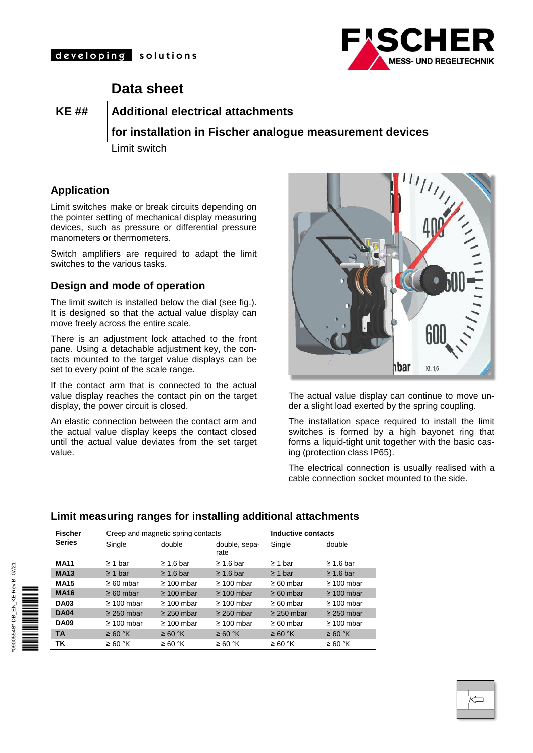

# **Data sheet**

**KE ## Additional electrical attachments**

**for installation in Fischer analogue measurement devices** Limit switch

## **Application**

Limit switches make or break circuits depending on the pointer setting of mechanical display measuring devices, such as pressure or differential pressure manometers or thermometers.

Switch amplifiers are required to adapt the limit switches to the various tasks.

## **Design and mode of operation**

The limit switch is installed below the dial (see fig.). It is designed so that the actual value display can move freely across the entire scale.

There is an adjustment lock attached to the front pane. Using a detachable adjustment key, the contacts mounted to the target value displays can be set to every point of the scale range.

If the contact arm that is connected to the actual value display reaches the contact pin on the target display, the power circuit is closed.

An elastic connection between the contact arm and the actual value display keeps the contact closed until the actual value deviates from the set target value.



The actual value display can continue to move under a slight load exerted by the spring coupling.

The installation space required to install the limit switches is formed by a high bayonet ring that forms a liquid-tight unit together with the basic casing (protection class IP65).

The electrical connection is usually realised with a cable connection socket mounted to the side.

#### **Fischer Series** Creep and magnetic spring contacts **Inductive contacts** Single double double, separate Single double **MA11** ≥ 1 bar ≥ 1.6 bar ≥ 1.6 bar ≥ 1 bar ≥ 1.6 bar **MA13** ≥ 1 bar ≥ 1.6 bar ≥ 1.6 bar ≥ 1 bar ≥ 1.6 bar **MA15** ≥ 60 mbar ≥ 100 mbar ≥ 100 mbar ≥ 60 mbar ≥ 100 mbar **MA16** ≥ 60 mbar ≥ 100 mbar ≥ 100 mbar ≥ 60 mbar ≥ 100 mbar **DA03** ≥ 100 mbar ≥ 100 mbar ≥ 100 mbar ≥ 60 mbar ≥ 100 mbar **DA04** ≥ 250 mbar ≥ 250 mbar ≥ 250 mbar ≥ 250 mbar ≥ 250 mbar **DA09** ≥ 100 mbar ≥ 100 mbar ≥ 100 mbar ≥ 60 mbar ≥ 100 mbar **TA** ≥ 60 °K ≥ 60 °K ≥ 60 °K ≥ 60 °K ≥ 60 °K **TK** ≥ 60 °K ≥ 60 °K ≥ 60 °K ≥ 60 °K ≥ 60 °K

## **Limit measuring ranges for installing additional attachments**



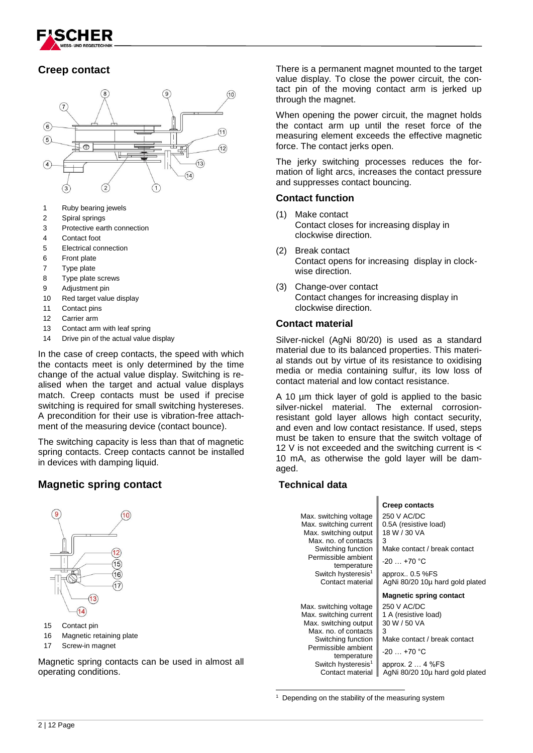

## **Creep contact**



- 1 Ruby bearing jewels
- 2 Spiral springs
- 3 Protective earth connection
- 4 Contact foot
- 5 Electrical connection
- 6 Front plate
- 7 Type plate
- 8 Type plate screws
- 9 Adjustment pin
- 10 Red target value display
- 11 Contact pins
- 12 Carrier arm
- 13 Contact arm with leaf spring
- 14 Drive pin of the actual value display

In the case of creep contacts, the speed with which the contacts meet is only determined by the time change of the actual value display. Switching is realised when the target and actual value displays match. Creep contacts must be used if precise switching is required for small switching hystereses. A precondition for their use is vibration-free attachment of the measuring device (contact bounce).

The switching capacity is less than that of magnetic spring contacts. Creep contacts cannot be installed in devices with damping liquid.

## **Magnetic spring contact**



- 15 Contact pin
- 16 Magnetic retaining plate
- 17 Screw-in magnet

Magnetic spring contacts can be used in almost all operating conditions.

There is a permanent magnet mounted to the target value display. To close the power circuit, the contact pin of the moving contact arm is jerked up through the magnet.

When opening the power circuit, the magnet holds the contact arm up until the reset force of the measuring element exceeds the effective magnetic force. The contact jerks open.

The jerky switching processes reduces the formation of light arcs, increases the contact pressure and suppresses contact bouncing.

#### **Contact function**

- (1) Make contact Contact closes for increasing display in clockwise direction.
- (2) Break contact Contact opens for increasing display in clockwise direction.
- (3) Change-over contact Contact changes for increasing display in clockwise direction.

#### **Contact material**

Silver-nickel (AgNi 80/20) is used as a standard material due to its balanced properties. This material stands out by virtue of its resistance to oxidising media or media containing sulfur, its low loss of contact material and low contact resistance.

A 10 µm thick layer of gold is applied to the basic silver-nickel material. The external corrosionresistant gold layer allows high contact security, and even and low contact resistance. If used, steps must be taken to ensure that the switch voltage of 12 V is not exceeded and the switching current is < 10 mA, as otherwise the gold layer will be damaged.

#### **Technical data**

**Creep contacts** Max. switching voltage 250 V AC/DC<br>Max. switching current 0.5A (resistive load) Max. switching current 0.5A (resistive<br>Max. switching output 18 W / 30 VA Max. switching output Max. no. of contacts 3 Switching function | Make contact / break contact Permissible ambient sible ambient  $\vert$  -20 ... +70 °C Switch hysteresis<sup>1</sup> approx.. 0.5 %FS<br>Contact material AgNi 80/20 10u h Max. switching voltage 250 V AC/DC<br>Max. switching current 1 A (resistive load) Max. switching current 1 A (resistive<br>Max. switching output 30 W / 50 VA Max. switching output

Max. no. of contacts 3<br>Switching function Permissible ambient ermissible ambient<br>temperature -20 ... +70 °C<br>Switch hysteresis<sup>1</sup> approx. 2 ... 4

 $\overline{a}$ 

<span id="page-1-0"></span>AgNi 80/20 10µ hard gold plated

**Magnetic spring contact**

Make contact / break contact

witch hy[s](#page-1-0)teresis<sup>1</sup> approx. 2 ... 4 %FS<br>Contact material AgNi 80/20 10u hard  $AGNi$  80/20 10 $µ$  hard gold plated

 $1$  Depending on the stability of the measuring system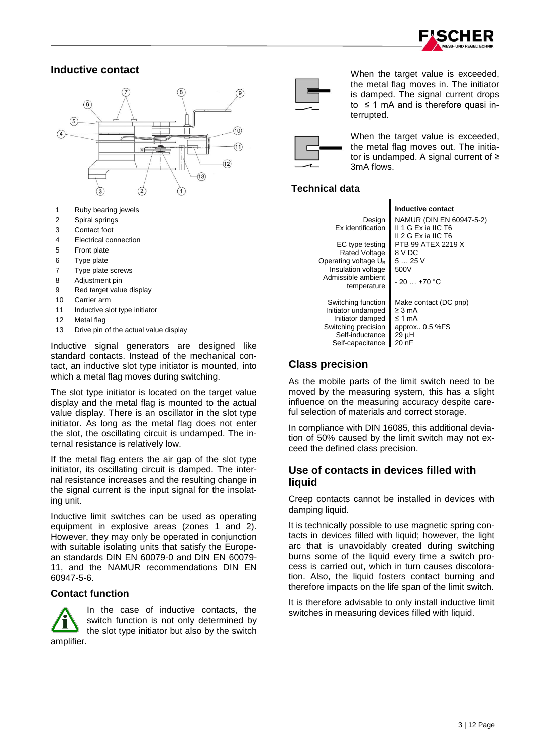

## **Inductive contact**



- 1 Ruby bearing jewels
- 2 Spiral springs
- 3 Contact foot
- 4 Electrical connection
- 5 Front plate
- 6 Type plate
- 7 Type plate screws
- 8 Adjustment pin
- 9 Red target value display
- 10 Carrier arm
- 11 Inductive slot type initiator
- 12 Metal flag
- 13 Drive pin of the actual value display

Inductive signal generators are designed like standard contacts. Instead of the mechanical contact, an inductive slot type initiator is mounted, into which a metal flag moves during switching.

The slot type initiator is located on the target value display and the metal flag is mounted to the actual value display. There is an oscillator in the slot type initiator. As long as the metal flag does not enter the slot, the oscillating circuit is undamped. The internal resistance is relatively low.

If the metal flag enters the air gap of the slot type initiator, its oscillating circuit is damped. The internal resistance increases and the resulting change in the signal current is the input signal for the insolating unit.

Inductive limit switches can be used as operating equipment in explosive areas (zones 1 and 2). However, they may only be operated in conjunction with suitable isolating units that satisfy the European standards DIN EN 60079-0 and DIN EN 60079- 11, and the NAMUR recommendations DIN EN 60947-5-6.

## **Contact function**

In the case of inductive contacts, the switch function is not only determined by the slot type initiator but also by the switch amplifier.



When the target value is exceeded, the metal flag moves in. The initiator is damped. The signal current drops to ≤ 1 mA and is therefore quasi interrupted.



When the target value is exceeded, the metal flag moves out. The initiator is undamped. A signal current of ≥ 3mA flows.

### **Technical data**

Rated Voltage  $\begin{array}{|c|c|} 8 \vee \text{DC} \\ \text{ting voltage U}_B & 5 ... 25 \vee \end{array}$ Operating voltage  $\check{U}_B$  5 ... 2<br>Insulation voltage 500V Insulation voltage Admissible ambient  $t$ emperature  $\vert \cdot 20 \ldots +70$  °C

Initiator undamped  $\parallel$  ≥ 3 mA Initiator damped  $\leq 1$  mA<br>*i*tching precision approx.. 0.5 %FS Switching precision Self-inductance 29 uH Self-capacitance 20 nF

**Inductive contact**

Design NAMUR (DIN EN 60947-5-2) Ex identification |  $\parallel$  II 1 G Ex ia IIC T6 II 2 G Ex ia IIC T6 EC type testing  $\parallel$  PTB 99 ATEX 2219 X

Switching function Make contact (DC pnp)

## **Class precision**

As the mobile parts of the limit switch need to be moved by the measuring system, this has a slight influence on the measuring accuracy despite careful selection of materials and correct storage.

In compliance with DIN 16085, this additional deviation of 50% caused by the limit switch may not exceed the defined class precision.

### **Use of contacts in devices filled with liquid**

Creep contacts cannot be installed in devices with damping liquid.

It is technically possible to use magnetic spring contacts in devices filled with liquid; however, the light arc that is unavoidably created during switching burns some of the liquid every time a switch process is carried out, which in turn causes discoloration. Also, the liquid fosters contact burning and therefore impacts on the life span of the limit switch.

It is therefore advisable to only install inductive limit switches in measuring devices filled with liquid.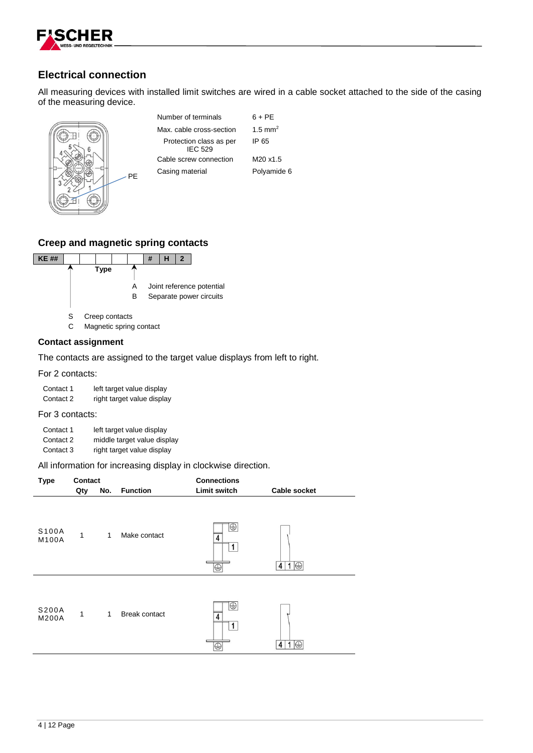

## **Electrical connection**

All measuring devices with installed limit switches are wired in a cable socket attached to the side of the casing of the measuring device.



| Number of terminals                       | $6 + PE$                         |
|-------------------------------------------|----------------------------------|
| Max. cable cross-section                  | 1.5 mm <sup>2</sup>              |
| Protection class as per<br><b>IEC 529</b> | IP 65                            |
| Cable screw connection                    | M <sub>20</sub> x <sub>1.5</sub> |
| Casing material                           | Polyamide 6                      |
|                                           |                                  |

### **Creep and magnetic spring contacts**



C Magnetic spring contact

#### **Contact assignment**

The contacts are assigned to the target value displays from left to right.

#### For 2 contacts:

| Contact 1 | left target value display  |
|-----------|----------------------------|
| Contact 2 | right target value display |

#### For 3 contacts:

| Contact 1 | left target value display   |
|-----------|-----------------------------|
| Contact 2 | middle target value display |
| Contact 3 | right target value display  |

#### All information for increasing display in clockwise direction.

| <b>Type</b>                 | Contact      |              |                      | <b>Connections</b>                                        |                     |  |  |
|-----------------------------|--------------|--------------|----------------------|-----------------------------------------------------------|---------------------|--|--|
|                             | Qty          | No.          | <b>Function</b>      | <b>Limit switch</b>                                       | <b>Cable socket</b> |  |  |
| S <sub>100</sub> A<br>M100A | $\mathbf{1}$ | 1            | Make contact         | $\bigoplus$<br>4<br>$\mathbf{1}$<br>$\overline{\oplus}$   | $1 \oplus$<br>4     |  |  |
| S200A<br><b>M200A</b>       | 1            | $\mathbf{1}$ | <b>Break contact</b> | $\circledast$<br>4<br>$\mathbf{1}$<br>$\overline{\oplus}$ | ⊕                   |  |  |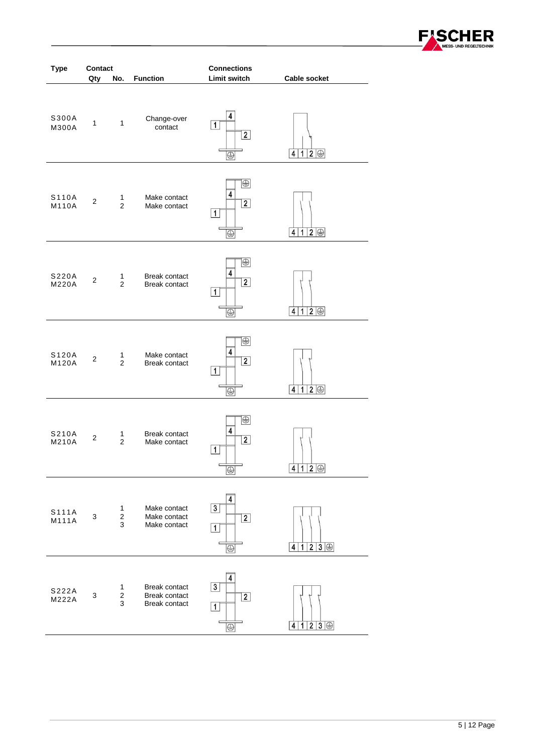

| <b>Type</b>           | Contact<br>Qty<br>No.                            | <b>Function</b>                                                      | <b>Connections</b><br>Limit switch                                          | Cable socket                              |
|-----------------------|--------------------------------------------------|----------------------------------------------------------------------|-----------------------------------------------------------------------------|-------------------------------------------|
| S300A<br>M300A        | $\mathbf{1}$<br>1                                | Change-over<br>contact                                               | 4<br>$\vert$ 1<br>$\overline{2}$<br>$\oplus$                                | $1 2  \oplus$<br>4                        |
| S110A<br>M110A        | 1<br>$\overline{c}$<br>$\overline{2}$            | Make contact<br>Make contact                                         | ▣<br>4<br>$\vert$ 2<br>1<br>$\overline{\oplus}$                             | $4 1 2  \oplus$                           |
| S220A<br><b>M220A</b> | $\mathbf{1}$<br>$\overline{2}$<br>$\overline{2}$ | <b>Break contact</b><br><b>Break contact</b>                         | $\circledcirc$<br>4<br>$\overline{2}$<br>1<br>$\bigoplus$                   | $2$ <sup><math>\oplus</math></sup><br>4 1 |
| S120A<br>M120A        | 1<br>$\overline{\mathbf{c}}$<br>$\overline{2}$   | Make contact<br><b>Break contact</b>                                 | $\circledcirc$<br>4<br>$\overline{2}$<br>1<br>$\overline{\oplus}$           | $1 2 \circledcirc$<br>4                   |
| S210A<br>M210A        | 1<br>$\overline{2}$<br>$\overline{2}$            | <b>Break contact</b><br>Make contact                                 | $\textcircled{\scriptsize\textcircled{\#}}$<br>4<br>$\boxed{2}$<br>1<br>⊕   | 2 <sup>2</sup><br>4 1                     |
| S111A<br>M111A        | $\mathbf{1}$<br>3<br>$\boldsymbol{2}$<br>3       | Make contact<br>Make contact<br>Make contact                         | 4<br>3 <br>$\overline{2}$<br>1<br>C<br>$\bigoplus$                          | $2 3  \oplus$<br>4 <br>1                  |
| S222A<br>M222A        | $\mathbf{1}$<br>3<br>$\boldsymbol{2}$<br>3       | <b>Break contact</b><br><b>Break contact</b><br><b>Break contact</b> | 4<br>$\overline{3}$<br>$\overline{2}$<br>1<br>$\Box$<br>$\overline{\oplus}$ | 1<br>$23 \oplus$<br>4 <sup>1</sup>        |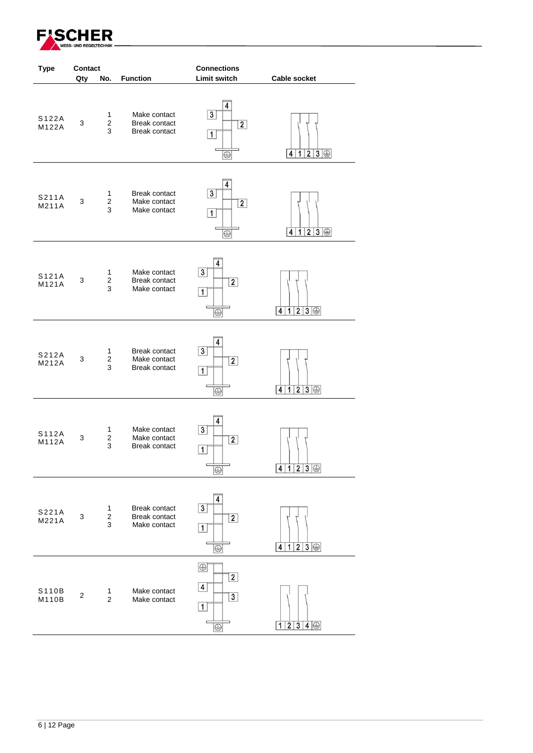

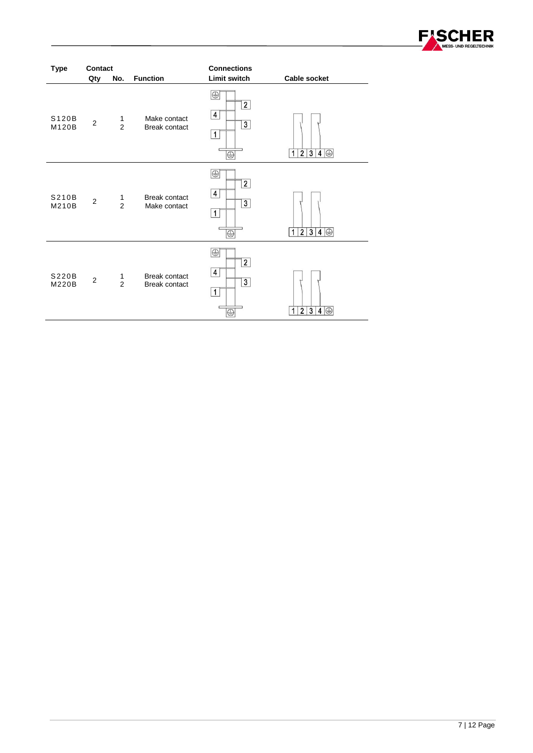

| <b>Type</b>           | Contact<br>Qty | No.                 | <b>Function</b>                              | <b>Connections</b><br><b>Limit switch</b>                                                              | <b>Cable socket</b>                             |
|-----------------------|----------------|---------------------|----------------------------------------------|--------------------------------------------------------------------------------------------------------|-------------------------------------------------|
| S120B<br>M120B        | $\overline{c}$ | 1<br>$\overline{2}$ | Make contact<br><b>Break contact</b>         | $\bigoplus$<br>$\overline{2}$<br>$\overline{4}$<br>$\overline{3}$<br>$\mathbf{1}$<br>$\bigoplus$       | $1 2 3 4  \oplus$                               |
| S210B<br>M210B        | $\overline{2}$ | 1<br>$\overline{2}$ | <b>Break contact</b><br>Make contact         | $\bigoplus$<br>$\overline{2}$<br>$\overline{4}$<br>$\mathbf{3}$<br>$\mathbf{1}$<br>$\bigoplus$         | $2 3 4 \oplus$<br>$\cdot$ 1                     |
| S220B<br><b>M220B</b> | $\overline{c}$ | 1<br>$\overline{2}$ | <b>Break contact</b><br><b>Break contact</b> | $\bigoplus$<br>$\overline{2}$<br>$\overline{4}$<br>$\mathbf{3}$<br>$\mathbf{1}$<br>$\overline{\oplus}$ | $\overline{2}$<br>$3 4  \oplus$<br>$\mathbf{1}$ |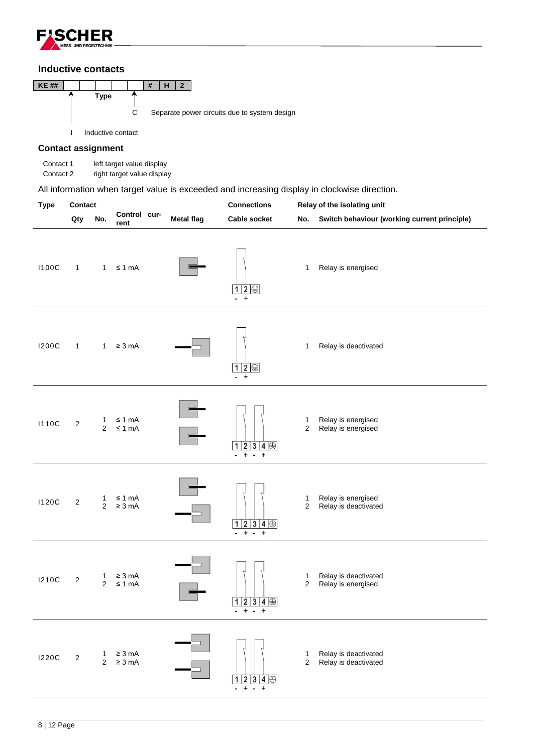

#### **Inductive contacts**



#### **Contact assignment**

| Contact 1 | left target value display  |
|-----------|----------------------------|
| Contact 2 | right target value display |

All information when target value is exceeded and increasing display in clockwise direction.

| <b>Type</b>  | Contact        |                                |                            |                   | <b>Connections</b>                                                        | Relay of the isolating unit    |                                              |  |  |
|--------------|----------------|--------------------------------|----------------------------|-------------------|---------------------------------------------------------------------------|--------------------------------|----------------------------------------------|--|--|
|              | Qty            | No.                            | Control cur-<br>rent       | <b>Metal flag</b> | <b>Cable socket</b>                                                       | No.                            | Switch behaviour (working current principle) |  |  |
| 1100C        | $\mathbf{1}$   | $\mathbf{1}$                   | $\leq 1$ mA                |                   | $12 \oplus$<br>$\ddot{}$                                                  | 1                              | Relay is energised                           |  |  |
| <b>I200C</b> | $\mathbf{1}$   | 1                              | $\geq 3$ mA                |                   | $12 \oplus$<br>$- +$                                                      | 1                              | Relay is deactivated                         |  |  |
| <b>I110C</b> | $\overline{2}$ | 1<br>$\overline{2}$            | $\leq 1$ mA<br>$\leq 1$ mA |                   | 2 3 4<br>1<br>$\ddot{}$<br>$\ddot{}$<br>×.                                | 1<br>2                         | Relay is energised<br>Relay is energised     |  |  |
| 1120C        | $\overline{2}$ | $\mathbf{1}$<br>$\overline{2}$ | $\leq 1$ mA<br>$\geq 3$ mA |                   | 234<br>$\mathbf{1}$<br>$\ddot{}$<br>$\ddot{}$<br>$\overline{\phantom{a}}$ | 1<br>$\overline{\mathbf{c}}$   | Relay is energised<br>Relay is deactivated   |  |  |
| <b>I210C</b> | $\overline{c}$ | $\mathbf{1}$<br>$\overline{2}$ | $\geq 3$ mA<br>$\leq 1$ mA |                   | $1 2 3 4$ $\oplus$<br>$- +$<br>$\ddot{}$                                  | 1<br>2                         | Relay is deactivated<br>Relay is energised   |  |  |
| <b>I220C</b> | $\overline{2}$ | $\mathbf{1}$<br>$\overline{2}$ | $\geq 3$ mA<br>$\geq 3$ mA |                   | $1 2 3 4 \oplus$<br>$- + - +$                                             | $\mathbf{1}$<br>$\overline{2}$ | Relay is deactivated<br>Relay is deactivated |  |  |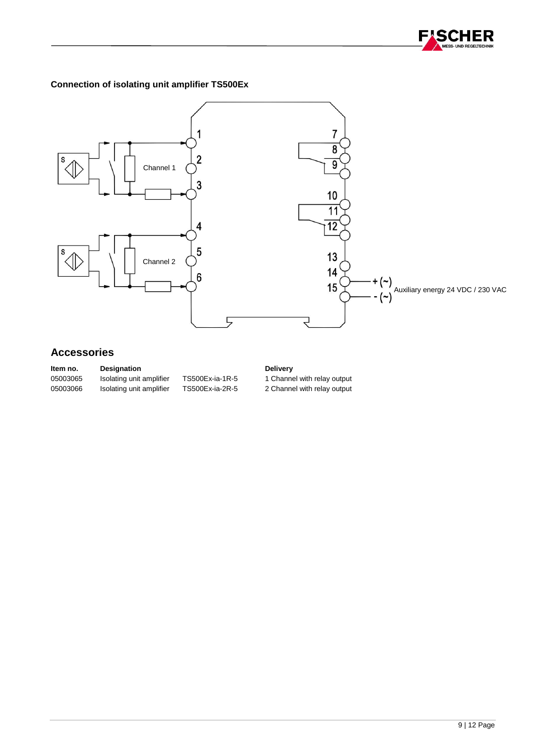

## **Connection of isolating unit amplifier TS500Ex**



## **Accessories**

| Item no. |  |
|----------|--|
| 05003065 |  |
| 05003066 |  |

**Internal Internal Internal Internal Internal Internal Internal Internal Internal Internal Internal Internal Internal Internal Internal Internal Internal Internal Internal Internal Internal Internal Internal Internal Inter** 

Isolating unit amplifier TS500Ex-ia-1R-5 1 Channel with relay output 05003066 Isolating unit amplifier TS500Ex-ia-2R-5 2 Channel with relay output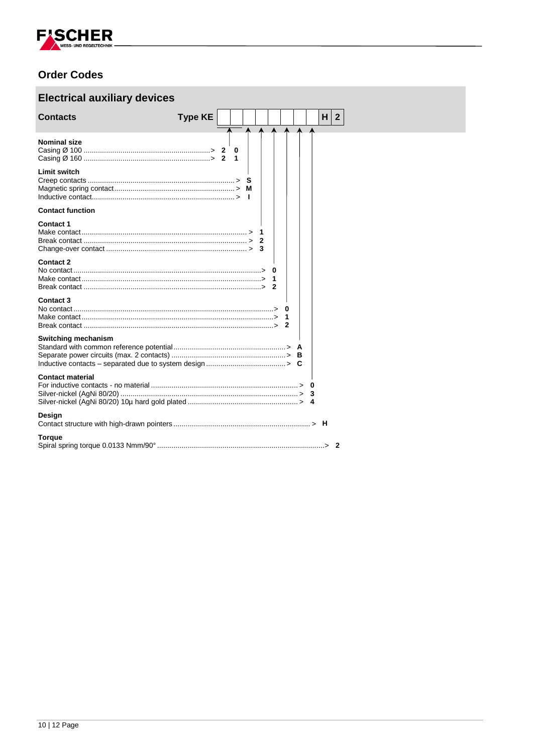

## **Order Codes**

# **Electrical auxiliary devices**

| <b>Contacts</b>            | <b>Type KE</b> |   |   |   |   |             | н | $\mathbf{2}$ |
|----------------------------|----------------|---|---|---|---|-------------|---|--------------|
| <b>Nominal size</b>        |                | 0 |   |   |   |             |   |              |
| <b>Limit switch</b>        |                |   |   |   |   |             |   |              |
| <b>Contact function</b>    |                |   |   |   |   |             |   |              |
| <b>Contact 1</b>           |                |   | 1 |   |   |             |   |              |
| Contact 2                  |                |   |   | 2 |   |             |   |              |
| Contact 3                  |                |   |   |   | 2 |             |   |              |
| <b>Switching mechanism</b> |                |   |   |   |   |             |   |              |
| <b>Contact material</b>    |                |   |   |   |   | 0<br>3<br>4 |   |              |
| Design                     |                |   |   |   |   |             |   |              |
| <b>Torque</b>              |                |   |   |   |   |             |   | -2           |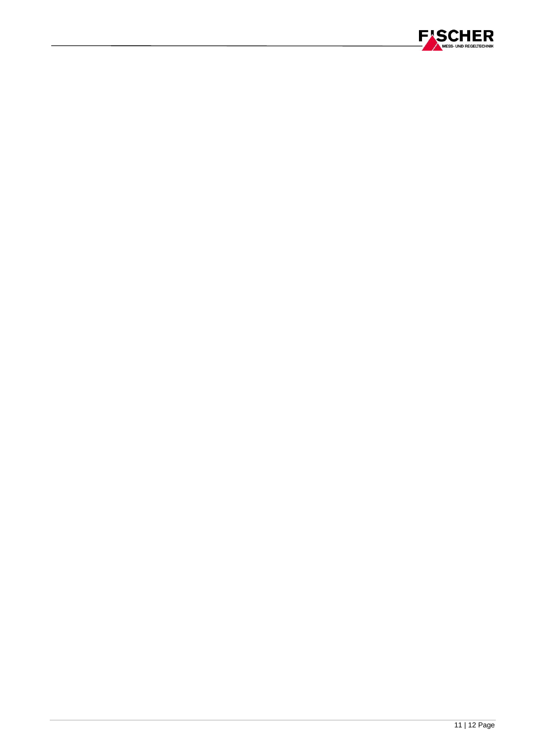